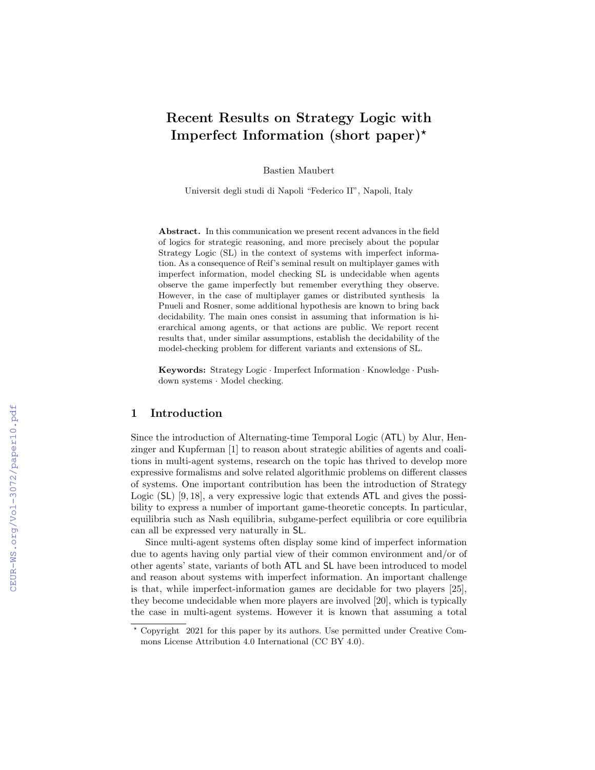# Recent Results on Strategy Logic with Imperfect Information (short paper)?

Bastien Maubert

Universit degli studi di Napoli "Federico II", Napoli, Italy

Abstract. In this communication we present recent advances in the field of logics for strategic reasoning, and more precisely about the popular Strategy Logic (SL) in the context of systems with imperfect information. As a consequence of Reif's seminal result on multiplayer games with imperfect information, model checking SL is undecidable when agents observe the game imperfectly but remember everything they observe. However, in the case of multiplayer games or distributed synthesis la Pnueli and Rosner, some additional hypothesis are known to bring back decidability. The main ones consist in assuming that information is hierarchical among agents, or that actions are public. We report recent results that, under similar assumptions, establish the decidability of the model-checking problem for different variants and extensions of SL.

Keywords: Strategy Logic · Imperfect Information · Knowledge · Pushdown systems · Model checking.

## 1 Introduction

Since the introduction of Alternating-time Temporal Logic (ATL) by Alur, Henzinger and Kupferman [1] to reason about strategic abilities of agents and coalitions in multi-agent systems, research on the topic has thrived to develop more expressive formalisms and solve related algorithmic problems on different classes of systems. One important contribution has been the introduction of Strategy Logic (SL) [9, 18], a very expressive logic that extends ATL and gives the possibility to express a number of important game-theoretic concepts. In particular, equilibria such as Nash equilibria, subgame-perfect equilibria or core equilibria can all be expressed very naturally in SL.

Since multi-agent systems often display some kind of imperfect information due to agents having only partial view of their common environment and/or of other agents' state, variants of both ATL and SL have been introduced to model and reason about systems with imperfect information. An important challenge is that, while imperfect-information games are decidable for two players [25], they become undecidable when more players are involved [20], which is typically the case in multi-agent systems. However it is known that assuming a total

<sup>?</sup> Copyright 2021 for this paper by its authors. Use permitted under Creative Commons License Attribution 4.0 International (CC BY 4.0).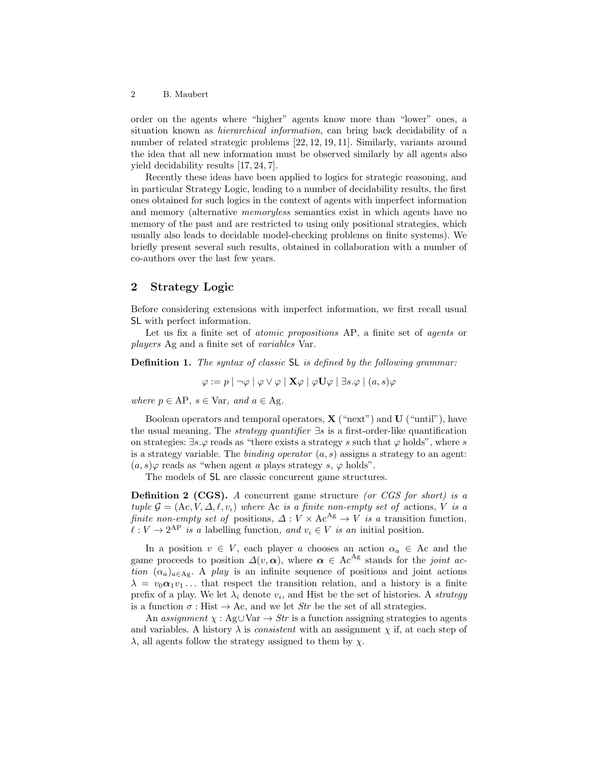order on the agents where "higher" agents know more than "lower" ones, a situation known as hierarchical information, can bring back decidability of a number of related strategic problems [22, 12, 19, 11]. Similarly, variants around the idea that all new information must be observed similarly by all agents also yield decidability results [17, 24, 7].

Recently these ideas have been applied to logics for strategic reasoning, and in particular Strategy Logic, leading to a number of decidability results, the first ones obtained for such logics in the context of agents with imperfect information and memory (alternative memoryless semantics exist in which agents have no memory of the past and are restricted to using only positional strategies, which usually also leads to decidable model-checking problems on finite systems). We briefly present several such results, obtained in collaboration with a number of co-authors over the last few years.

## 2 Strategy Logic

Before considering extensions with imperfect information, we first recall usual SL with perfect information.

Let us fix a finite set of *atomic propositions* AP, a finite set of *agents* or players Ag and a finite set of variables Var.

Definition 1. The syntax of classic SL is defined by the following grammar:

$$
\varphi := p \mid \neg \varphi \mid \varphi \vee \varphi \mid \mathbf{X} \varphi \mid \varphi \mathbf{U} \varphi \mid \exists s. \varphi \mid (a, s) \varphi
$$

where  $p \in AP$ ,  $s \in Var$ , and  $a \in Ag$ .

Boolean operators and temporal operators,  $\mathbf{X}$  ("next") and  $\mathbf{U}$  ("until"), have the usual meaning. The *strategy quantifier*  $\exists s$  is a first-order-like quantification on strategies:  $\exists s.\varphi$  reads as "there exists a strategy s such that  $\varphi$  holds", where s is a strategy variable. The *binding operator*  $(a, s)$  assigns a strategy to an agent:  $(a, s)\varphi$  reads as "when agent a plays strategy s,  $\varphi$  holds".

The models of SL are classic concurrent game structures.

**Definition 2 (CGS).** A concurrent game structure (or CGS for short) is a tuple  $\mathcal{G} = (A_c, V, \Delta, \ell, v_i)$  where Ac is a finite non-empty set of actions, V is a finite non-empty set of positions,  $\Delta: V \times \text{Ac}^{\text{Ag}} \to V$  is a transition function,  $\ell : V \to 2^{\text{AP}}$  is a labelling function, and  $v_i \in V$  is an initial position.

In a position  $v \in V$ , each player a chooses an action  $\alpha_a \in A_c$  and the game proceeds to position  $\Delta(v, \alpha)$ , where  $\alpha \in \text{Ac}^{\text{Ag}}$  stands for the joint action  $(\alpha_a)_{a \in \text{Ag}}$ . A play is an infinite sequence of positions and joint actions  $\lambda = v_0 \alpha_1 v_1 \dots$  that respect the transition relation, and a history is a finite prefix of a play. We let  $\lambda_i$  denote  $v_i$ , and Hist be the set of histories. A *strategy* is a function  $\sigma$ : Hist  $\rightarrow$  Ac, and we let *Str* be the set of all strategies.

An assignment  $\chi : Ag \cup Var \rightarrow Str$  is a function assigning strategies to agents and variables. A history  $\lambda$  is *consistent* with an assignment  $\chi$  if, at each step of  $\lambda$ , all agents follow the strategy assigned to them by  $\chi$ .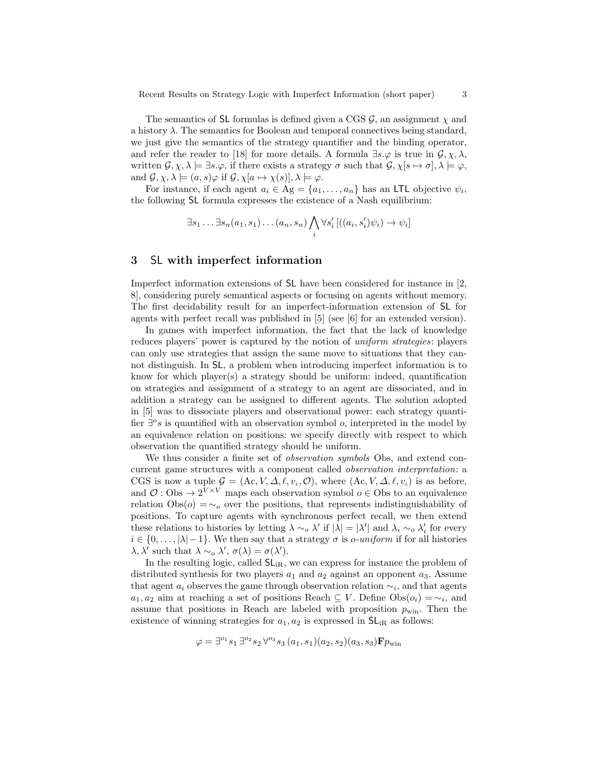The semantics of SL formulas is defined given a CGS  $\mathcal{G}$ , an assignment  $\chi$  and a history  $\lambda$ . The semantics for Boolean and temporal connectives being standard, we just give the semantics of the strategy quantifier and the binding operator, and refer the reader to [18] for more details. A formula  $\exists s.\varphi$  is true in  $\mathcal{G}, \chi, \lambda$ , written  $\mathcal{G}, \chi, \lambda \models \exists s.\varphi$ , if there exists a strategy  $\sigma$  such that  $\mathcal{G}, \chi[s \mapsto \sigma], \lambda \models \varphi$ , and  $\mathcal{G}, \chi, \lambda \models (a, s)\varphi$  if  $\mathcal{G}, \chi[a \mapsto \chi(s)], \lambda \models \varphi$ .

For instance, if each agent  $a_i \in \text{Ag} = \{a_1, \ldots, a_n\}$  has an LTL objective  $\psi_i$ , the following SL formula expresses the existence of a Nash equilibrium:

$$
\exists s_1 \ldots \exists s_n (a_1, s_1) \ldots (a_n, s_n) \bigwedge_i \forall s'_i \left[ ((a_i, s'_i) \psi_i) \to \psi_i \right]
$$

## 3 SL with imperfect information

Imperfect information extensions of SL have been considered for instance in [2, 8], considering purely semantical aspects or focusing on agents without memory. The first decidability result for an imperfect-information extension of SL for agents with perfect recall was published in [5] (see [6] for an extended version).

In games with imperfect information, the fact that the lack of knowledge reduces players' power is captured by the notion of uniform strategies: players can only use strategies that assign the same move to situations that they cannot distinguish. In SL, a problem when introducing imperfect information is to know for which player(s) a strategy should be uniform: indeed, quantification on strategies and assignment of a strategy to an agent are dissociated, and in addition a strategy can be assigned to different agents. The solution adopted in [5] was to dissociate players and observational power: each strategy quantifier  $\exists^{\circ} s$  is quantified with an observation symbol  $o$ , interpreted in the model by an equivalence relation on positions: we specify directly with respect to which observation the quantified strategy should be uniform.

We thus consider a finite set of *observation symbols* Obs, and extend concurrent game structures with a component called observation interpretation: a CGS is now a tuple  $\mathcal{G} = (Ac, V, \Delta, \ell, v_i, \mathcal{O})$ , where  $(Ac, V, \Delta, \ell, v_i)$  is as before, and  $\mathcal{O}: \mathrm{Obs} \to 2^{V \times V}$  maps each observation symbol  $o \in \mathrm{Obs}$  to an equivalence relation  $Obs(o) = \sim_o$  over the positions, that represents indistinguishability of positions. To capture agents with synchronous perfect recall, we then extend these relations to histories by letting  $\lambda \sim_o \lambda'$  if  $|\lambda| = |\lambda'|$  and  $\lambda_i \sim_o \lambda'_i$  for every  $i \in \{0, \ldots, |\lambda| - 1\}$ . We then say that a strategy  $\sigma$  is *o-uniform* if for all histories  $\lambda, \lambda'$  such that  $\lambda \sim_o \lambda', \sigma(\lambda) = \sigma(\lambda').$ 

In the resulting logic, called  $SL_{IR}$ , we can express for instance the problem of distributed synthesis for two players  $a_1$  and  $a_2$  against an opponent  $a_3$ . Assume that agent  $a_i$  observes the game through observation relation  $\sim_i$ , and that agents  $a_1, a_2$  aim at reaching a set of positions Reach  $\subseteq V$ . Define  $\text{Obs}(o_i) = \sim_i$ , and assume that positions in Reach are labeled with proposition  $p_{\text{win}}$ . Then the existence of winning strategies for  $a_1, a_2$  is expressed in  $SL_{IR}$  as follows:

$$
\varphi = \exists^{\circ_1} s_1 \exists^{\circ_2} s_2 \forall^{\circ_3} s_3 (a_1, s_1) (a_2, s_2) (a_3, s_3) \mathbf{F} p_{\text{win}}
$$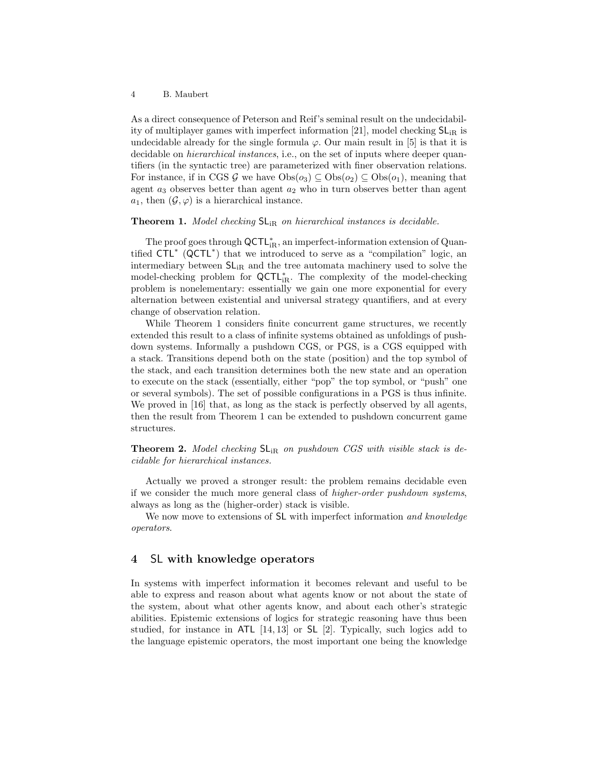#### 4 B. Maubert

As a direct consequence of Peterson and Reif's seminal result on the undecidability of multiplayer games with imperfect information [21], model checking  $SL_{IR}$  is undecidable already for the single formula  $\varphi$ . Our main result in [5] is that it is decidable on *hierarchical instances*, i.e., on the set of inputs where deeper quantifiers (in the syntactic tree) are parameterized with finer observation relations. For instance, if in CGS G we have  $Obs(o_3) \subseteq Obs(o_2) \subseteq Obs(o_1)$ , meaning that agent  $a_3$  observes better than agent  $a_2$  who in turn observes better than agent  $a_1$ , then  $(\mathcal{G}, \varphi)$  is a hierarchical instance.

### **Theorem 1.** Model checking  $SL_{iR}$  on hierarchical instances is decidable.

The proof goes through  $\mathsf{QCTL}_{iR}^*$ , an imperfect-information extension of Quantified CTL<sup>∗</sup> (QCTL<sup>∗</sup> ) that we introduced to serve as a "compilation" logic, an intermediary between  $SL_{iR}$  and the tree automata machinery used to solve the model-checking problem for  $\mathsf{QCTL}_{iR}^*$ . The complexity of the model-checking problem is nonelementary: essentially we gain one more exponential for every alternation between existential and universal strategy quantifiers, and at every change of observation relation.

While Theorem 1 considers finite concurrent game structures, we recently extended this result to a class of infinite systems obtained as unfoldings of pushdown systems. Informally a pushdown CGS, or PGS, is a CGS equipped with a stack. Transitions depend both on the state (position) and the top symbol of the stack, and each transition determines both the new state and an operation to execute on the stack (essentially, either "pop" the top symbol, or "push" one or several symbols). The set of possible configurations in a PGS is thus infinite. We proved in [16] that, as long as the stack is perfectly observed by all agents, then the result from Theorem 1 can be extended to pushdown concurrent game structures.

**Theorem 2.** Model checking  $SL_{iR}$  on pushdown CGS with visible stack is decidable for hierarchical instances.

Actually we proved a stronger result: the problem remains decidable even if we consider the much more general class of higher-order pushdown systems, always as long as the (higher-order) stack is visible.

We now move to extensions of SL with imperfect information and knowledge operators.

## 4 SL with knowledge operators

In systems with imperfect information it becomes relevant and useful to be able to express and reason about what agents know or not about the state of the system, about what other agents know, and about each other's strategic abilities. Epistemic extensions of logics for strategic reasoning have thus been studied, for instance in ATL [14, 13] or SL [2]. Typically, such logics add to the language epistemic operators, the most important one being the knowledge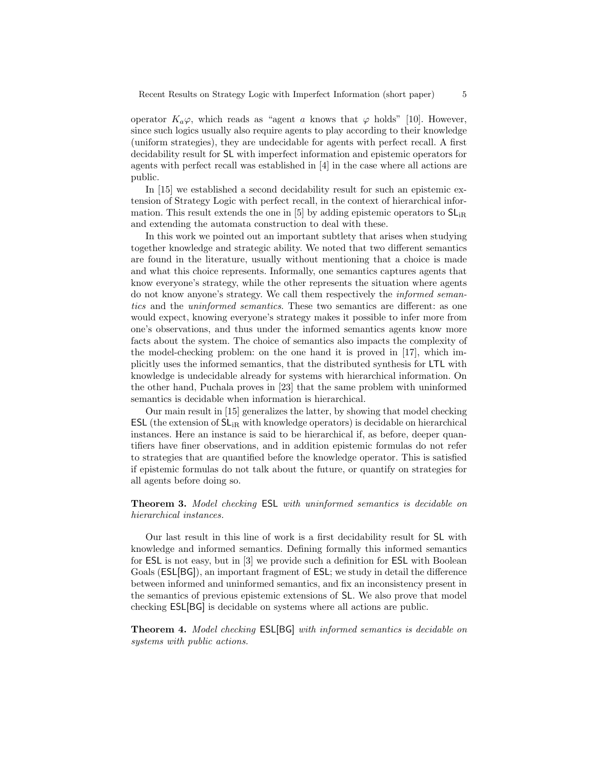operator  $K_a\varphi$ , which reads as "agent a knows that  $\varphi$  holds" [10]. However, since such logics usually also require agents to play according to their knowledge (uniform strategies), they are undecidable for agents with perfect recall. A first decidability result for SL with imperfect information and epistemic operators for agents with perfect recall was established in [4] in the case where all actions are public.

In [15] we established a second decidability result for such an epistemic extension of Strategy Logic with perfect recall, in the context of hierarchical information. This result extends the one in [5] by adding epistemic operators to  $SL_{IR}$ and extending the automata construction to deal with these.

In this work we pointed out an important subtlety that arises when studying together knowledge and strategic ability. We noted that two different semantics are found in the literature, usually without mentioning that a choice is made and what this choice represents. Informally, one semantics captures agents that know everyone's strategy, while the other represents the situation where agents do not know anyone's strategy. We call them respectively the informed semantics and the uninformed semantics. These two semantics are different: as one would expect, knowing everyone's strategy makes it possible to infer more from one's observations, and thus under the informed semantics agents know more facts about the system. The choice of semantics also impacts the complexity of the model-checking problem: on the one hand it is proved in [17], which implicitly uses the informed semantics, that the distributed synthesis for LTL with knowledge is undecidable already for systems with hierarchical information. On the other hand, Puchala proves in [23] that the same problem with uninformed semantics is decidable when information is hierarchical.

Our main result in [15] generalizes the latter, by showing that model checking **ESL** (the extension of  $SL_{iR}$  with knowledge operators) is decidable on hierarchical instances. Here an instance is said to be hierarchical if, as before, deeper quantifiers have finer observations, and in addition epistemic formulas do not refer to strategies that are quantified before the knowledge operator. This is satisfied if epistemic formulas do not talk about the future, or quantify on strategies for all agents before doing so.

## Theorem 3. Model checking ESL with uninformed semantics is decidable on hierarchical instances.

Our last result in this line of work is a first decidability result for SL with knowledge and informed semantics. Defining formally this informed semantics for ESL is not easy, but in [3] we provide such a definition for ESL with Boolean Goals (ESL[BG]), an important fragment of ESL; we study in detail the difference between informed and uninformed semantics, and fix an inconsistency present in the semantics of previous epistemic extensions of SL. We also prove that model checking ESL[BG] is decidable on systems where all actions are public.

Theorem 4. Model checking ESL[BG] with informed semantics is decidable on systems with public actions.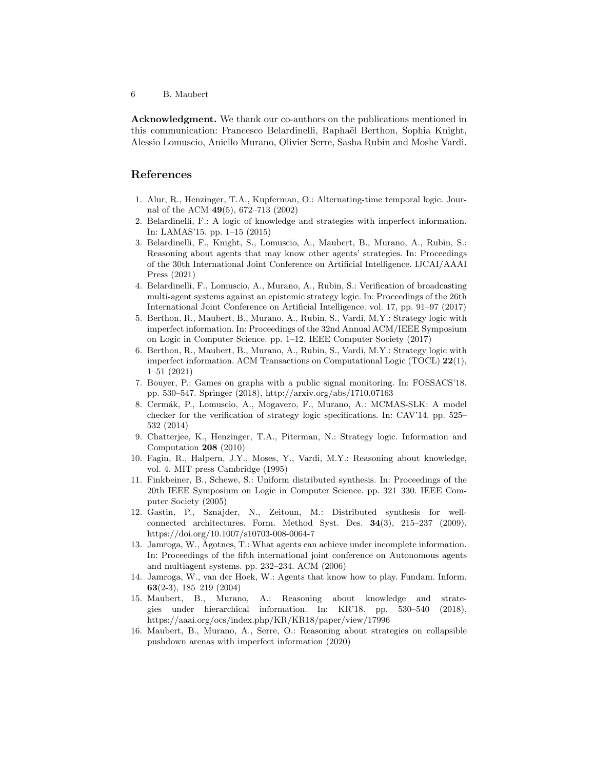6 B. Maubert

Acknowledgment. We thank our co-authors on the publications mentioned in this communication: Francesco Belardinelli, Raphaël Berthon, Sophia Knight, Alessio Lomuscio, Aniello Murano, Olivier Serre, Sasha Rubin and Moshe Vardi.

# References

- 1. Alur, R., Henzinger, T.A., Kupferman, O.: Alternating-time temporal logic. Journal of the ACM 49(5), 672–713 (2002)
- 2. Belardinelli, F.: A logic of knowledge and strategies with imperfect information. In: LAMAS'15. pp. 1–15 (2015)
- 3. Belardinelli, F., Knight, S., Lomuscio, A., Maubert, B., Murano, A., Rubin, S.: Reasoning about agents that may know other agents' strategies. In: Proceedings of the 30th International Joint Conference on Artificial Intelligence. IJCAI/AAAI Press (2021)
- 4. Belardinelli, F., Lomuscio, A., Murano, A., Rubin, S.: Verification of broadcasting multi-agent systems against an epistemic strategy logic. In: Proceedings of the 26th International Joint Conference on Artificial Intelligence. vol. 17, pp. 91–97 (2017)
- 5. Berthon, R., Maubert, B., Murano, A., Rubin, S., Vardi, M.Y.: Strategy logic with imperfect information. In: Proceedings of the 32nd Annual ACM/IEEE Symposium on Logic in Computer Science. pp. 1–12. IEEE Computer Society (2017)
- 6. Berthon, R., Maubert, B., Murano, A., Rubin, S., Vardi, M.Y.: Strategy logic with imperfect information. ACM Transactions on Computational Logic (TOCL)  $22(1)$ , 1–51 (2021)
- 7. Bouyer, P.: Games on graphs with a public signal monitoring. In: FOSSACS'18. pp. 530–547. Springer (2018), http://arxiv.org/abs/1710.07163
- 8. Cermák, P., Lomuscio, A., Mogavero, F., Murano, A.: MCMAS-SLK: A model checker for the verification of strategy logic specifications. In: CAV'14. pp. 525– 532 (2014)
- 9. Chatterjee, K., Henzinger, T.A., Piterman, N.: Strategy logic. Information and Computation 208 (2010)
- 10. Fagin, R., Halpern, J.Y., Moses, Y., Vardi, M.Y.: Reasoning about knowledge, vol. 4. MIT press Cambridge (1995)
- 11. Finkbeiner, B., Schewe, S.: Uniform distributed synthesis. In: Proceedings of the 20th IEEE Symposium on Logic in Computer Science. pp. 321–330. IEEE Computer Society (2005)
- 12. Gastin, P., Sznajder, N., Zeitoun, M.: Distributed synthesis for wellconnected architectures. Form. Method Syst. Des. 34(3), 215–237 (2009). https://doi.org/10.1007/s10703-008-0064-7
- 13. Jamroga, W., Ågotnes, T.: What agents can achieve under incomplete information. In: Proceedings of the fifth international joint conference on Autonomous agents and multiagent systems. pp. 232–234. ACM (2006)
- 14. Jamroga, W., van der Hoek, W.: Agents that know how to play. Fundam. Inform. 63(2-3), 185–219 (2004)
- 15. Maubert, B., Murano, A.: Reasoning about knowledge and strategies under hierarchical information. In: KR'18. pp. 530–540 (2018), https://aaai.org/ocs/index.php/KR/KR18/paper/view/17996
- 16. Maubert, B., Murano, A., Serre, O.: Reasoning about strategies on collapsible pushdown arenas with imperfect information (2020)